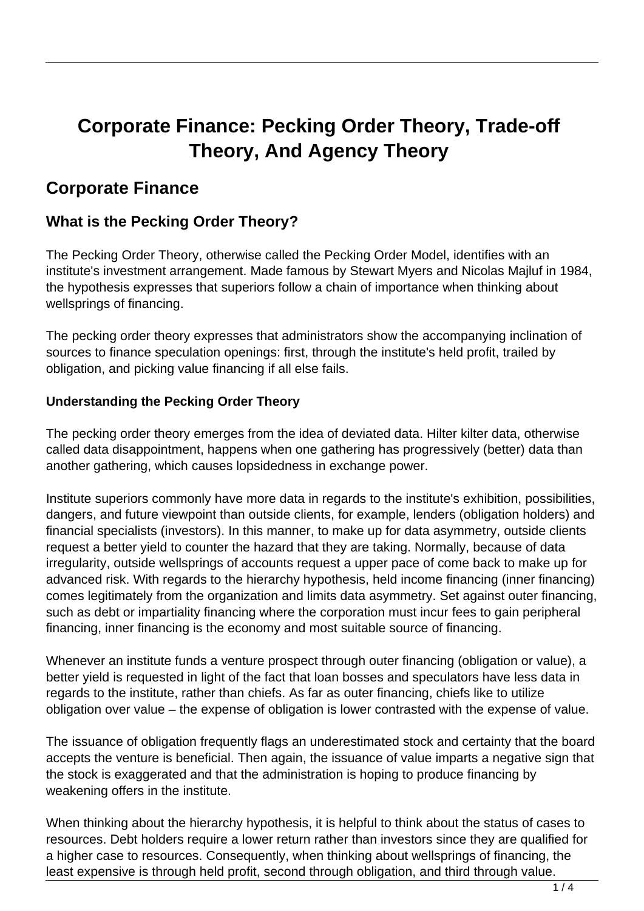# **Corporate Finance: Pecking Order Theory, Trade-off Theory, And Agency Theory**

# **Corporate Finance**

## **What is the Pecking Order Theory?**

The Pecking Order Theory, otherwise called the Pecking Order Model, identifies with an institute's investment arrangement. Made famous by Stewart Myers and Nicolas Majluf in 1984, the hypothesis expresses that superiors follow a chain of importance when thinking about wellsprings of financing.

The pecking order theory expresses that administrators show the accompanying inclination of sources to finance speculation openings: first, through the institute's held profit, trailed by obligation, and picking value financing if all else fails.

#### **Understanding the Pecking Order Theory**

The pecking order theory emerges from the idea of deviated data. Hilter kilter data, otherwise called data disappointment, happens when one gathering has progressively (better) data than another gathering, which causes lopsidedness in exchange power.

Institute superiors commonly have more data in regards to the institute's exhibition, possibilities, dangers, and future viewpoint than outside clients, for example, lenders (obligation holders) and financial specialists (investors). In this manner, to make up for data asymmetry, outside clients request a better yield to counter the hazard that they are taking. Normally, because of data irregularity, outside wellsprings of accounts request a upper pace of come back to make up for advanced risk. With regards to the hierarchy hypothesis, held income financing (inner financing) comes legitimately from the organization and limits data asymmetry. Set against outer financing, such as debt or impartiality financing where the corporation must incur fees to gain peripheral financing, inner financing is the economy and most suitable source of financing.

Whenever an institute funds a venture prospect through outer financing (obligation or value), a better yield is requested in light of the fact that loan bosses and speculators have less data in regards to the institute, rather than chiefs. As far as outer financing, chiefs like to utilize obligation over value – the expense of obligation is lower contrasted with the expense of value.

The issuance of obligation frequently flags an underestimated stock and certainty that the board accepts the venture is beneficial. Then again, the issuance of value imparts a negative sign that the stock is exaggerated and that the administration is hoping to produce financing by weakening offers in the institute.

When thinking about the hierarchy hypothesis, it is helpful to think about the status of cases to resources. Debt holders require a lower return rather than investors since they are qualified for a higher case to resources. Consequently, when thinking about wellsprings of financing, the least expensive is through held profit, second through obligation, and third through value.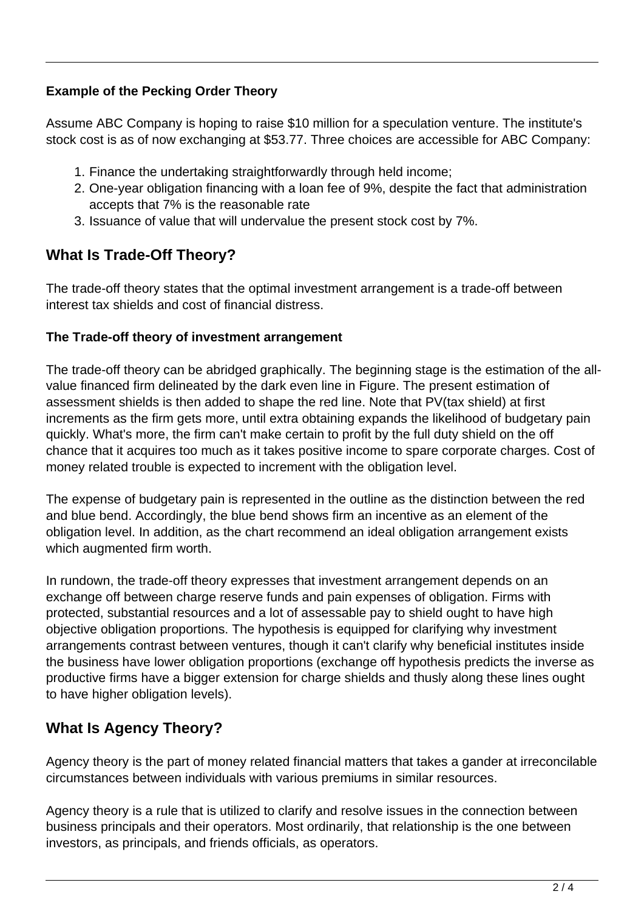#### **Example of the Pecking Order Theory**

Assume ABC Company is hoping to raise \$10 million for a speculation venture. The institute's stock cost is as of now exchanging at \$53.77. Three choices are accessible for ABC Company:

- 1. Finance the undertaking straightforwardly through held income;
- 2. One-year obligation financing with a loan fee of 9%, despite the fact that administration accepts that 7% is the reasonable rate
- 3. Issuance of value that will undervalue the present stock cost by 7%.

# **What Is Trade-Off Theory?**

The trade-off theory states that the optimal investment arrangement is a trade-off between interest tax shields and cost of financial distress.

#### **The Trade-off theory of investment arrangement**

The trade-off theory can be abridged graphically. The beginning stage is the estimation of the allvalue financed firm delineated by the dark even line in Figure. The present estimation of assessment shields is then added to shape the red line. Note that PV(tax shield) at first increments as the firm gets more, until extra obtaining expands the likelihood of budgetary pain quickly. What's more, the firm can't make certain to profit by the full duty shield on the off chance that it acquires too much as it takes positive income to spare corporate charges. Cost of money related trouble is expected to increment with the obligation level.

The expense of budgetary pain is represented in the outline as the distinction between the red and blue bend. Accordingly, the blue bend shows firm an incentive as an element of the obligation level. In addition, as the chart recommend an ideal obligation arrangement exists which augmented firm worth.

In rundown, the trade-off theory expresses that investment arrangement depends on an exchange off between charge reserve funds and pain expenses of obligation. Firms with protected, substantial resources and a lot of assessable pay to shield ought to have high objective obligation proportions. The hypothesis is equipped for clarifying why investment arrangements contrast between ventures, though it can't clarify why beneficial institutes inside the business have lower obligation proportions (exchange off hypothesis predicts the inverse as productive firms have a bigger extension for charge shields and thusly along these lines ought to have higher obligation levels).

# **What Is Agency Theory?**

Agency theory is the part of money related financial matters that takes a gander at irreconcilable circumstances between individuals with various premiums in similar resources.

Agency theory is a rule that is utilized to clarify and resolve issues in the connection between business principals and their operators. Most ordinarily, that relationship is the one between investors, as principals, and friends officials, as operators.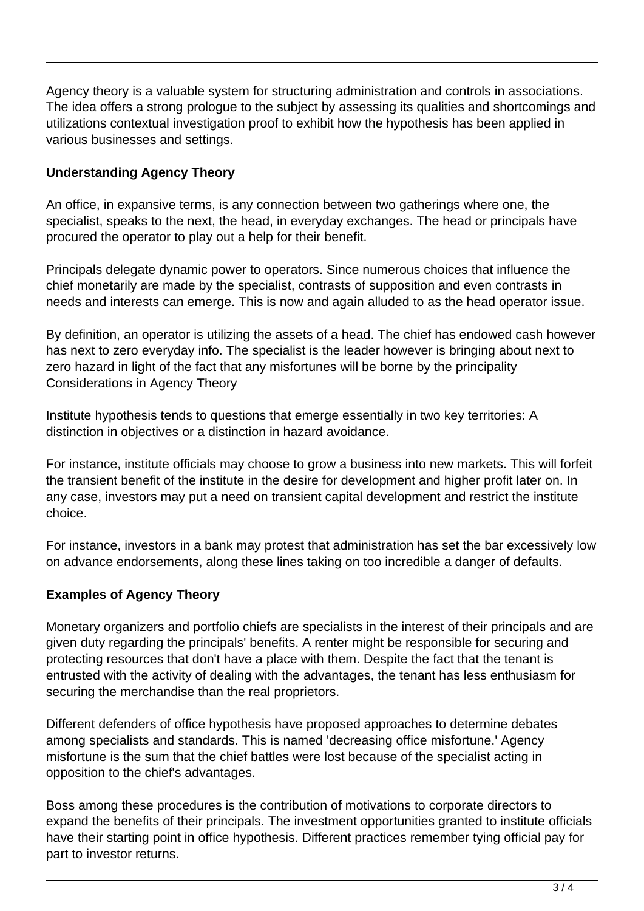Agency theory is a valuable system for structuring administration and controls in associations. The idea offers a strong prologue to the subject by assessing its qualities and shortcomings and utilizations contextual investigation proof to exhibit how the hypothesis has been applied in various businesses and settings.

#### **Understanding Agency Theory**

An office, in expansive terms, is any connection between two gatherings where one, the specialist, speaks to the next, the head, in everyday exchanges. The head or principals have procured the operator to play out a help for their benefit.

Principals delegate dynamic power to operators. Since numerous choices that influence the chief monetarily are made by the specialist, contrasts of supposition and even contrasts in needs and interests can emerge. This is now and again alluded to as the head operator issue.

By definition, an operator is utilizing the assets of a head. The chief has endowed cash however has next to zero everyday info. The specialist is the leader however is bringing about next to zero hazard in light of the fact that any misfortunes will be borne by the principality Considerations in Agency Theory

Institute hypothesis tends to questions that emerge essentially in two key territories: A distinction in objectives or a distinction in hazard avoidance.

For instance, institute officials may choose to grow a business into new markets. This will forfeit the transient benefit of the institute in the desire for development and higher profit later on. In any case, investors may put a need on transient capital development and restrict the institute choice.

For instance, investors in a bank may protest that administration has set the bar excessively low on advance endorsements, along these lines taking on too incredible a danger of defaults.

#### **Examples of Agency Theory**

Monetary organizers and portfolio chiefs are specialists in the interest of their principals and are given duty regarding the principals' benefits. A renter might be responsible for securing and protecting resources that don't have a place with them. Despite the fact that the tenant is entrusted with the activity of dealing with the advantages, the tenant has less enthusiasm for securing the merchandise than the real proprietors.

Different defenders of office hypothesis have proposed approaches to determine debates among specialists and standards. This is named 'decreasing office misfortune.' Agency misfortune is the sum that the chief battles were lost because of the specialist acting in opposition to the chief's advantages.

Boss among these procedures is the contribution of motivations to corporate directors to expand the benefits of their principals. The investment opportunities granted to institute officials have their starting point in office hypothesis. Different practices remember tying official pay for part to investor returns.